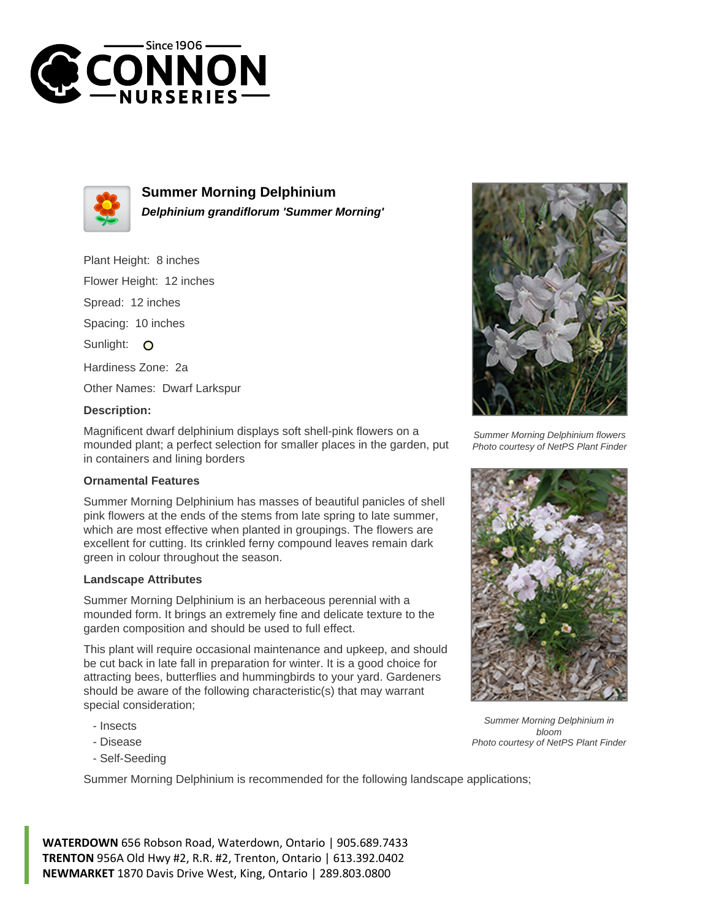



**Summer Morning Delphinium Delphinium grandiflorum 'Summer Morning'**

Plant Height: 8 inches

Flower Height: 12 inches

Spread: 12 inches

Spacing: 10 inches

Sunlight: O

Hardiness Zone: 2a

Other Names: Dwarf Larkspur

## **Description:**

Magnificent dwarf delphinium displays soft shell-pink flowers on a mounded plant; a perfect selection for smaller places in the garden, put in containers and lining borders

## **Ornamental Features**

Summer Morning Delphinium has masses of beautiful panicles of shell pink flowers at the ends of the stems from late spring to late summer, which are most effective when planted in groupings. The flowers are excellent for cutting. Its crinkled ferny compound leaves remain dark green in colour throughout the season.

## **Landscape Attributes**

Summer Morning Delphinium is an herbaceous perennial with a mounded form. It brings an extremely fine and delicate texture to the garden composition and should be used to full effect.

This plant will require occasional maintenance and upkeep, and should be cut back in late fall in preparation for winter. It is a good choice for attracting bees, butterflies and hummingbirds to your yard. Gardeners should be aware of the following characteristic(s) that may warrant special consideration;

- Insects
- Disease
- Self-Seeding

Summer Morning Delphinium is recommended for the following landscape applications;



Summer Morning Delphinium flowers Photo courtesy of NetPS Plant Finder



Summer Morning Delphinium in bloom Photo courtesy of NetPS Plant Finder

**WATERDOWN** 656 Robson Road, Waterdown, Ontario | 905.689.7433 **TRENTON** 956A Old Hwy #2, R.R. #2, Trenton, Ontario | 613.392.0402 **NEWMARKET** 1870 Davis Drive West, King, Ontario | 289.803.0800